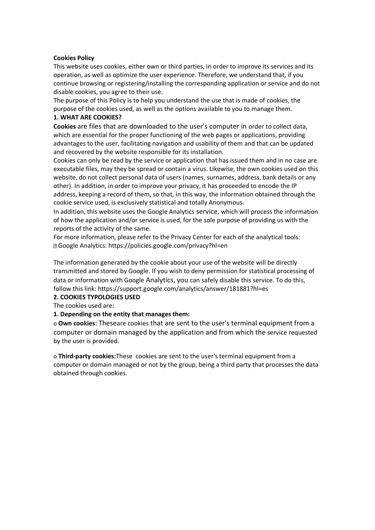#### **Cookies Policy**

This website uses cookies, either own or third parties, in order to improve its services and its operation, as well as optimize the user experience. Therefore, we understand that, if you continue browsing or registering/installing the corresponding application or service and do not disable cookies, you agree to their use.

The purpose of this Policy is to help you understand the use that is made of cookies, the purpose of the cookies used, as well as the options available to you to manage them.

### **1. WHAT ARE COOKIES?**

**Cookies** are files that are downloaded to the user's computer in order to collect data, which are essential for the proper functioning of the web pages or applications, providing advantages to the user, facilitating navigation and usability of them and that can be updated and recovered by the website responsible for its installation.

Cookies can only be read by the service or application that has issued them and in no case are executable files, may they be spread or contain a virus. Likewise, the own cookies used on this website, do not collect personal data of users (names, surnames, address, bank details or any other). In addition, in order to improve your privacy, it has proceeded to encode the IP address, keeping a record of them, so that, in this way, the information obtained through the cookie service used, is exclusively statistical and totally Anonymous.

In addition, this website uses the Google Analytics service, which will process the information of how the application and/or service is used, for the sole purpose of providing us with the reports of the activity of the same.

For more information, please refer to the Privacy Center for each of the analytical tools: Google Analytics: https://policies.google.com/privacy?hl=en

The information generated by the cookie about your use of the website will be directly transmitted and stored by Google. If you wish to deny permission for statistical processing of data or information with Google Analytics, you can safely disable this service. To do this, follow this link: https://support.google.com/analytics/answer/181881?hl=es

# **2. COOKIES TYPOLOGIES USED**

The cookies used are:

# **1. Depending on the entity that manages them:**

o **Own cookies**: Theseare cookies that are sent to the user's terminal equipment from a computer or domain managed by the application and from which the service requested by the user is provided.

o **Third-party cookies**:These cookies are sent to the user's terminal equipment from a computer or domain managed or not by the group, being a third party that processes the data obtained through cookies.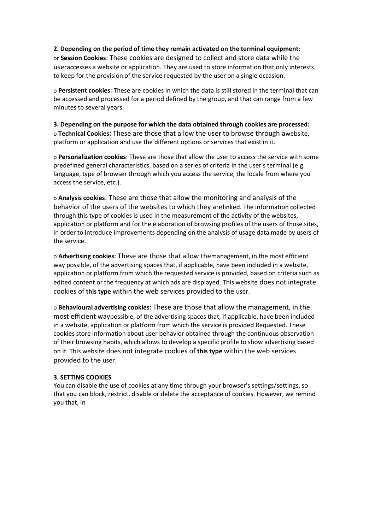#### **2. Depending on the period of time they remain activated on the terminal equipment:**

or **Session Cookies**: These cookies are designed to collect and store data while the useraccesses a website or application. They are used to store information that only interests to keep for the provision of the service requested by the user on a single occasion.

o **Persistent cookies**: These are cookies in which the data is still stored in the terminal that can be accessed and processed for a period defined by the group, and that can range from a few minutes to several years.

**3. Depending on the purpose for which the data obtained through cookies are processed:** o **Technical Cookies**: These are those that allow the user to browse through awebsite, platform or application and use the different options or services that exist in it.

o **Personalization cookies**: These are those that allow the user to access the service with some predefined general characteristics, based on a series of criteria in the user's terminal (e.g. language, type of browser through which you access the service, the locale from where you access the service, etc.).

o **Analysis cookies**: These are those that allow the monitoring and analysis of the behavior of the users of the websites to which they arelinked. The information collected through this type of cookies is used in the measurement of the activity of the websites, application or platform and for the elaboration of browsing profiles of the users of those sites, in order to introduce improvements depending on the analysis of usage data made by users of the service.

o **Advertising cookies**: These are those that allow themanagement, in the most efficient way possible, of the advertising spaces that, if applicable, have been included in a website, application or platform from which the requested service is provided, based on criteria such as edited content or the frequency at which ads are displayed. This website does not integrate cookies of **this type** within the web services provided to the user.

o **Behavioural advertising cookies**: These are those that allow the management, in the most efficient waypossible, of the advertising spaces that, if applicable, have been included in a website, application or platform from which the service is provided Requested. These cookies store information about user behavior obtained through the continuous observation of their browsing habits, which allows to develop a specific profile to show advertising based on it. This website does not integrate cookies of **this type** within the web services provided to the user.

#### **3. SETTING COOKIES**

You can disable the use of cookies at any time through your browser's settings/settings, so that you can block, restrict, disable or delete the acceptance of cookies. However, we remind you that, in